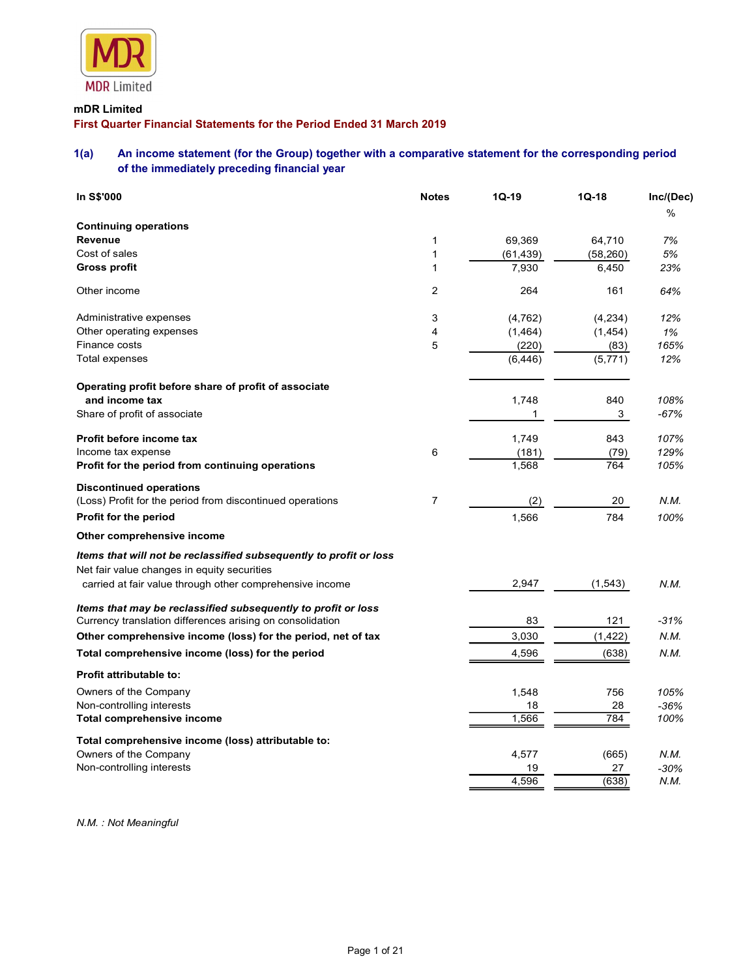

# mDR Limited

# First Quarter Financial Statements for the Period Ended 31 March 2019

# 1(a) An income statement (for the Group) together with a comparative statement for the corresponding period of the immediately preceding financial year

|                     | <b>MDR</b> Limited                                                                                                                                    |                |                   |                  |                |
|---------------------|-------------------------------------------------------------------------------------------------------------------------------------------------------|----------------|-------------------|------------------|----------------|
| mDR Limited         |                                                                                                                                                       |                |                   |                  |                |
|                     | First Quarter Financial Statements for the Period Ended 31 March 2019                                                                                 |                |                   |                  |                |
| 1(a)                | An income statement (for the Group) together with a comparative statement for the corresponding period<br>of the immediately preceding financial year |                |                   |                  |                |
| In S\$'000          |                                                                                                                                                       | <b>Notes</b>   | $1Q-19$           | $1Q-18$          | Inc/(Dec)      |
|                     | <b>Continuing operations</b>                                                                                                                          |                |                   |                  | $\%$           |
| Revenue             |                                                                                                                                                       | $\mathbf 1$    | 69,369            | 64,710           | 7%             |
| Cost of sales       |                                                                                                                                                       | 1              | (61, 439)         | (58, 260)        | 5%             |
| <b>Gross profit</b> |                                                                                                                                                       | 1              | 7,930             | 6,450            | 23%            |
| Other income        |                                                                                                                                                       | $\overline{c}$ | 264               | 161              | 64%            |
|                     | Administrative expenses                                                                                                                               | 3              | (4, 762)          | (4,234)          | 12%            |
|                     | Other operating expenses                                                                                                                              | 4              | (1, 464)          | (1, 454)         | 1%             |
| Finance costs       | Total expenses                                                                                                                                        | 5              | (220)<br>(6, 446) | (83)<br>(5, 771) | 165%<br>12%    |
|                     |                                                                                                                                                       |                |                   |                  |                |
|                     | Operating profit before share of profit of associate                                                                                                  |                |                   |                  |                |
|                     | and income tax                                                                                                                                        |                | 1,748<br>-1       | 840<br>3         | 108%<br>$-67%$ |
|                     | Share of profit of associate                                                                                                                          |                |                   |                  |                |
|                     | Profit before income tax                                                                                                                              |                | 1,749             | 843              | 107%           |
|                     | Income tax expense<br>Profit for the period from continuing operations                                                                                | 6              | (181)<br>1,568    | (79)<br>764      | 129%<br>105%   |
|                     |                                                                                                                                                       |                |                   |                  |                |
|                     | <b>Discontinued operations</b><br>(Loss) Profit for the period from discontinued operations                                                           | $\overline{7}$ | (2)               | 20               | N.M.           |
|                     | Profit for the period                                                                                                                                 |                | 1,566             | 784              | 100%           |
|                     | Other comprehensive income                                                                                                                            |                |                   |                  |                |
|                     |                                                                                                                                                       |                |                   |                  |                |
|                     | Items that will not be reclassified subsequently to profit or loss<br>Net fair value changes in equity securities                                     |                |                   |                  |                |
|                     | carried at fair value through other comprehensive income                                                                                              |                | 2,947             | (1, 543)         | N.M.           |
|                     | Items that may be reclassified subsequently to profit or loss                                                                                         |                |                   |                  |                |
|                     | Currency translation differences arising on consolidation                                                                                             |                | 83                | 121              | $-31%$         |
|                     | Other comprehensive income (loss) for the period, net of tax                                                                                          |                | 3,030             | (1, 422)         | N.M.           |
|                     | Total comprehensive income (loss) for the period                                                                                                      |                | 4,596             | (638)            | N.M.           |
|                     | Profit attributable to:                                                                                                                               |                |                   |                  |                |
|                     | Owners of the Company<br>Non-controlling interests                                                                                                    |                | 1,548             | 756              | 105%           |
|                     | Total comprehensive income                                                                                                                            |                | 18<br>1,566       | 28<br>784        | $-36%$<br>100% |
|                     |                                                                                                                                                       |                |                   |                  |                |
|                     | Total comprehensive income (loss) attributable to:<br>Owners of the Company                                                                           |                | 4,577             | (665)            | N.M.           |
|                     | Non-controlling interests                                                                                                                             |                | 19                | 27               | $-30%$         |
|                     |                                                                                                                                                       |                | 4,596             | (638)            | N.M.           |

N.M. : Not Meaningful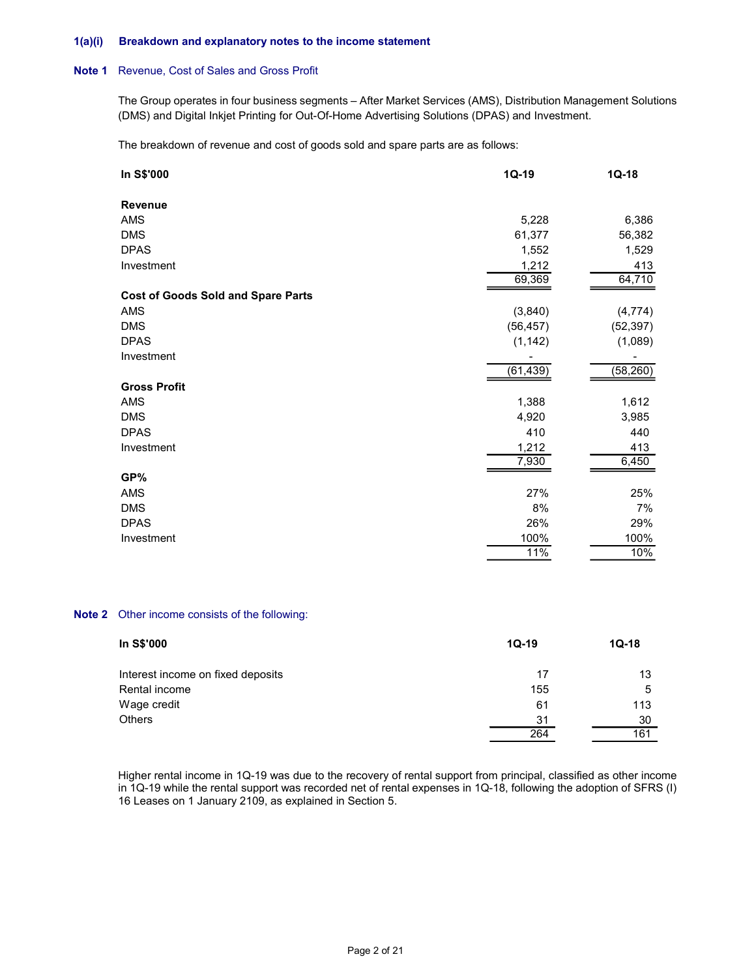#### 1(a)(i) Breakdown and explanatory notes to the income statement

# Note 1 Revenue, Cost of Sales and Gross Profit

| Breakdown and explanatory notes to the income statement                                                                                                                                                         |                             |                             |
|-----------------------------------------------------------------------------------------------------------------------------------------------------------------------------------------------------------------|-----------------------------|-----------------------------|
| Revenue, Cost of Sales and Gross Profit                                                                                                                                                                         |                             |                             |
| The Group operates in four business segments - After Market Services (AMS), Distribution Management Solutions<br>(DMS) and Digital Inkjet Printing for Out-Of-Home Advertising Solutions (DPAS) and Investment. |                             |                             |
| The breakdown of revenue and cost of goods sold and spare parts are as follows:                                                                                                                                 |                             |                             |
| In S\$'000                                                                                                                                                                                                      | $1Q-19$                     | $1Q-18$                     |
| Revenue                                                                                                                                                                                                         |                             |                             |
| AMS                                                                                                                                                                                                             | 5,228                       | 6,386                       |
| <b>DMS</b>                                                                                                                                                                                                      | 61,377                      | 56,382                      |
| <b>DPAS</b>                                                                                                                                                                                                     | 1,552                       | 1,529                       |
| Investment                                                                                                                                                                                                      | 1,212                       | 413<br>64,710               |
|                                                                                                                                                                                                                 | 69,369                      |                             |
| <b>Cost of Goods Sold and Spare Parts</b>                                                                                                                                                                       |                             |                             |
| AMS                                                                                                                                                                                                             | (3,840)                     | (4, 774)                    |
| <b>DMS</b>                                                                                                                                                                                                      | (56, 457)                   | (52, 397)                   |
| <b>DPAS</b>                                                                                                                                                                                                     | (1, 142)                    | (1,089)                     |
| Investment                                                                                                                                                                                                      | $\blacksquare$<br>(61, 439) | $\blacksquare$<br>(58, 260) |
|                                                                                                                                                                                                                 |                             |                             |
| <b>Gross Profit</b>                                                                                                                                                                                             |                             |                             |
| AMS<br><b>DMS</b>                                                                                                                                                                                               | 1,388<br>4,920              | 1,612<br>3,985              |
| <b>DPAS</b>                                                                                                                                                                                                     | 410                         | 440                         |
| Investment                                                                                                                                                                                                      | 1,212                       | 413                         |
|                                                                                                                                                                                                                 | 7,930                       | 6,450                       |
| GP%                                                                                                                                                                                                             |                             |                             |
| AMS                                                                                                                                                                                                             | 27%                         | 25%                         |
| DMS                                                                                                                                                                                                             | $8%$                        | 7%                          |
| <b>DPAS</b>                                                                                                                                                                                                     | 26%                         | 29%                         |
| Investment                                                                                                                                                                                                      | 100%                        | 100%                        |
|                                                                                                                                                                                                                 | 11%                         | 10%                         |
|                                                                                                                                                                                                                 |                             |                             |
| Other income consists of the following:                                                                                                                                                                         |                             |                             |
| In S\$'000                                                                                                                                                                                                      | $1Q-19$                     | $1Q-18$                     |
| Interest income on fixed deposits                                                                                                                                                                               | 17                          | 13                          |
| Rental income                                                                                                                                                                                                   | 155                         | 5                           |
| Wage credit                                                                                                                                                                                                     | 61                          | 113                         |
| Others                                                                                                                                                                                                          | 31                          | 30                          |
|                                                                                                                                                                                                                 | 264                         | 161                         |
|                                                                                                                                                                                                                 |                             |                             |
|                                                                                                                                                                                                                 |                             |                             |

#### Note 2 Other income consists of the following:

| In S\$'000                        | $1Q-19$ | $1Q-18$ |  |
|-----------------------------------|---------|---------|--|
| Interest income on fixed deposits | 17      | 13      |  |
| Rental income                     | 155     | 5       |  |
| Wage credit                       | 61      | 113     |  |
| Others                            | 31      | 30      |  |
|                                   | 264     | 161     |  |

 Higher rental income in 1Q-19 was due to the recovery of rental support from principal, classified as other income in 1Q-19 while the rental support was recorded net of rental expenses in 1Q-18, following the adoption of SFRS (I) 16 Leases on 1 January 2109, as explained in Section 5.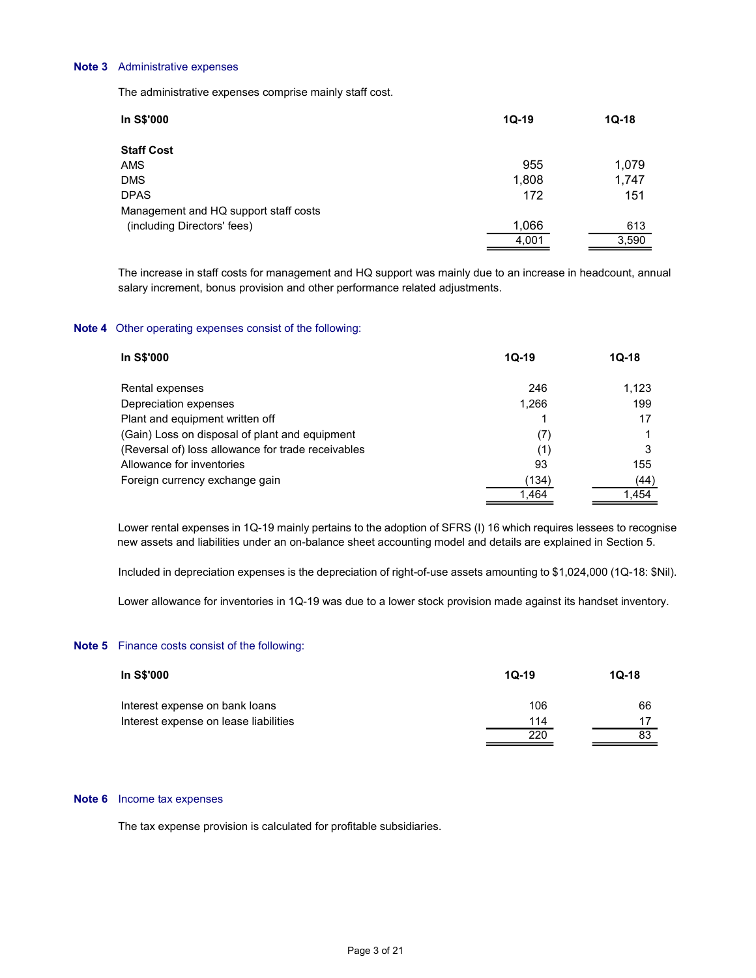#### Note 3 Administrative expenses

| Administrative expenses                                                                                                                                                                      |              |         |
|----------------------------------------------------------------------------------------------------------------------------------------------------------------------------------------------|--------------|---------|
| The administrative expenses comprise mainly staff cost.                                                                                                                                      |              |         |
| In S\$'000                                                                                                                                                                                   | $1Q-19$      | $1Q-18$ |
| <b>Staff Cost</b>                                                                                                                                                                            |              |         |
| AMS                                                                                                                                                                                          | 955          | 1,079   |
| <b>DMS</b>                                                                                                                                                                                   | 1,808        | 1,747   |
| <b>DPAS</b>                                                                                                                                                                                  | 172          | 151     |
| Management and HQ support staff costs                                                                                                                                                        |              |         |
| (including Directors' fees)                                                                                                                                                                  | 1,066        | 613     |
|                                                                                                                                                                                              | 4,001        | 3,590   |
| The increase in staff costs for management and HQ support was mainly due to an increase in headcount, annual<br>salary increment, bonus provision and other performance related adjustments. |              |         |
| Other operating expenses consist of the following:                                                                                                                                           |              |         |
| In S\$'000                                                                                                                                                                                   | $1Q-19$      | $1Q-18$ |
| Rental expenses                                                                                                                                                                              | 246          | 1,123   |
| Depreciation expenses                                                                                                                                                                        | 1,266        | 199     |
|                                                                                                                                                                                              | $\mathbf{1}$ | 17      |
| Plant and equipment written off                                                                                                                                                              |              |         |

#### Note 4 Other operating expenses consist of the following:

| <b>Staff Cost</b>                                                                                                                                                                                                                                                                                                                                                                                                                                                              |         |         |  |
|--------------------------------------------------------------------------------------------------------------------------------------------------------------------------------------------------------------------------------------------------------------------------------------------------------------------------------------------------------------------------------------------------------------------------------------------------------------------------------|---------|---------|--|
| AMS                                                                                                                                                                                                                                                                                                                                                                                                                                                                            | 955     | 1,079   |  |
| <b>DMS</b>                                                                                                                                                                                                                                                                                                                                                                                                                                                                     | 1,808   | 1,747   |  |
| <b>DPAS</b>                                                                                                                                                                                                                                                                                                                                                                                                                                                                    | 172     | 151     |  |
| Management and HQ support staff costs                                                                                                                                                                                                                                                                                                                                                                                                                                          |         |         |  |
| (including Directors' fees)                                                                                                                                                                                                                                                                                                                                                                                                                                                    | 1,066   | 613     |  |
|                                                                                                                                                                                                                                                                                                                                                                                                                                                                                | 4,001   | 3,590   |  |
| The increase in staff costs for management and HQ support was mainly due to an increase in headcount, annual<br>salary increment, bonus provision and other performance related adjustments.                                                                                                                                                                                                                                                                                   |         |         |  |
| Other operating expenses consist of the following:                                                                                                                                                                                                                                                                                                                                                                                                                             |         |         |  |
| In S\$'000                                                                                                                                                                                                                                                                                                                                                                                                                                                                     | $1Q-19$ | $1Q-18$ |  |
| Rental expenses                                                                                                                                                                                                                                                                                                                                                                                                                                                                | 246     | 1,123   |  |
| Depreciation expenses                                                                                                                                                                                                                                                                                                                                                                                                                                                          | 1,266   | 199     |  |
| Plant and equipment written off                                                                                                                                                                                                                                                                                                                                                                                                                                                | 1       | 17      |  |
| (Gain) Loss on disposal of plant and equipment                                                                                                                                                                                                                                                                                                                                                                                                                                 | (7)     | -1      |  |
| (Reversal of) loss allowance for trade receivables                                                                                                                                                                                                                                                                                                                                                                                                                             | (1)     | 3       |  |
| Allowance for inventories                                                                                                                                                                                                                                                                                                                                                                                                                                                      | 93      | 155     |  |
| Foreign currency exchange gain                                                                                                                                                                                                                                                                                                                                                                                                                                                 | (134)   | (44)    |  |
|                                                                                                                                                                                                                                                                                                                                                                                                                                                                                | 1,464   | 1,454   |  |
| Lower rental expenses in 1Q-19 mainly pertains to the adoption of SFRS (I) 16 which requires lessees to recognise<br>new assets and liabilities under an on-balance sheet accounting model and details are explained in Section 5.<br>Included in depreciation expenses is the depreciation of right-of-use assets amounting to \$1,024,000 (1Q-18: \$Nil).<br>Lower allowance for inventories in 1Q-19 was due to a lower stock provision made against its handset inventory. |         |         |  |
| Finance costs consist of the following:                                                                                                                                                                                                                                                                                                                                                                                                                                        |         |         |  |
| In S\$'000                                                                                                                                                                                                                                                                                                                                                                                                                                                                     | $1Q-19$ | $1Q-18$ |  |
| Interest expense on bank loans                                                                                                                                                                                                                                                                                                                                                                                                                                                 | 106     | 66      |  |
| Interest expense on lease liabilities                                                                                                                                                                                                                                                                                                                                                                                                                                          | 114     | 17      |  |
|                                                                                                                                                                                                                                                                                                                                                                                                                                                                                | 220     | 83      |  |
|                                                                                                                                                                                                                                                                                                                                                                                                                                                                                |         |         |  |
|                                                                                                                                                                                                                                                                                                                                                                                                                                                                                |         |         |  |
| Income tax expenses                                                                                                                                                                                                                                                                                                                                                                                                                                                            |         |         |  |

### Note 5 Finance costs consist of the following:

| In S\$'000                            | $1Q-19$ | $1Q-18$ |  |
|---------------------------------------|---------|---------|--|
| Interest expense on bank loans        | 106     | 66      |  |
| Interest expense on lease liabilities | 114     | 17      |  |
|                                       | 220     | 83      |  |
|                                       |         |         |  |

#### Note 6 Income tax expenses

The tax expense provision is calculated for profitable subsidiaries.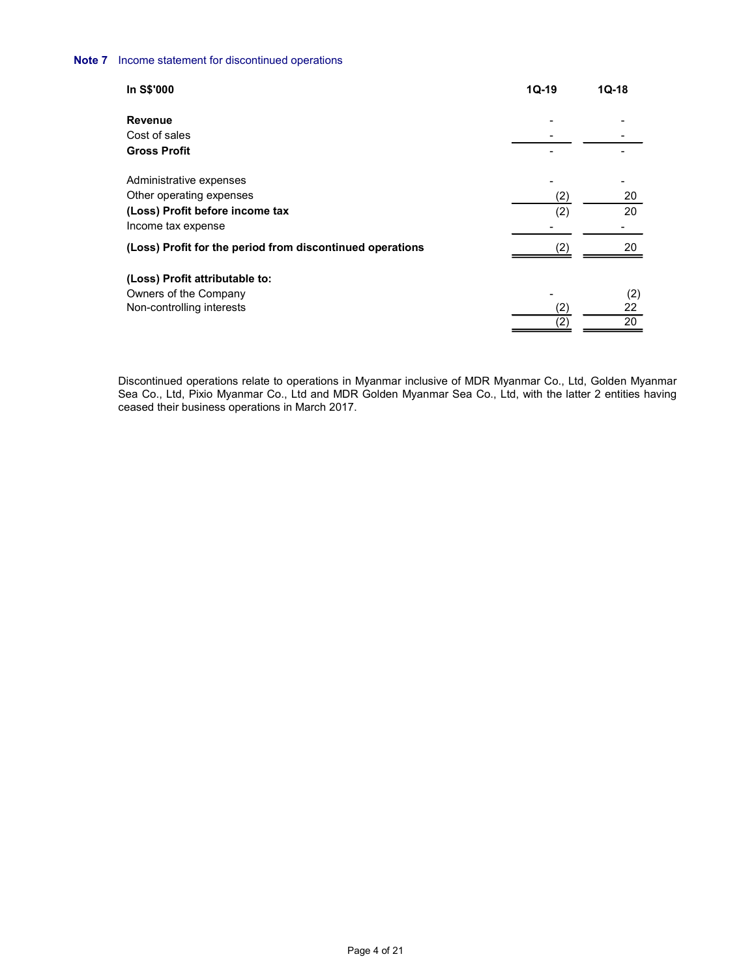| come statement for discontinued operations                                      |                                 |           |  |
|---------------------------------------------------------------------------------|---------------------------------|-----------|--|
| In S\$'000                                                                      | $1Q-19$                         | $1Q-18$   |  |
|                                                                                 |                                 |           |  |
|                                                                                 |                                 |           |  |
| Revenue<br>Cost of sales                                                        | $\overline{\phantom{0}}$        |           |  |
| <b>Gross Profit</b>                                                             |                                 |           |  |
|                                                                                 |                                 |           |  |
| Administrative expenses                                                         |                                 |           |  |
| Other operating expenses<br>(Loss) Profit before income tax                     | (2)                             | 20<br>20  |  |
|                                                                                 | (2)<br>$\overline{\phantom{a}}$ | $\sim$    |  |
| Income tax expense<br>(Loss) Profit for the period from discontinued operations | (2)                             | $20\,$    |  |
|                                                                                 |                                 |           |  |
| (Loss) Profit attributable to:                                                  |                                 |           |  |
| Owners of the Company<br>Non-controlling interests                              | (2)                             | (2)<br>22 |  |

 Discontinued operations relate to operations in Myanmar inclusive of MDR Myanmar Co., Ltd, Golden Myanmar Sea Co., Ltd, Pixio Myanmar Co., Ltd and MDR Golden Myanmar Sea Co., Ltd, with the latter 2 entities having ceased their business operations in March 2017.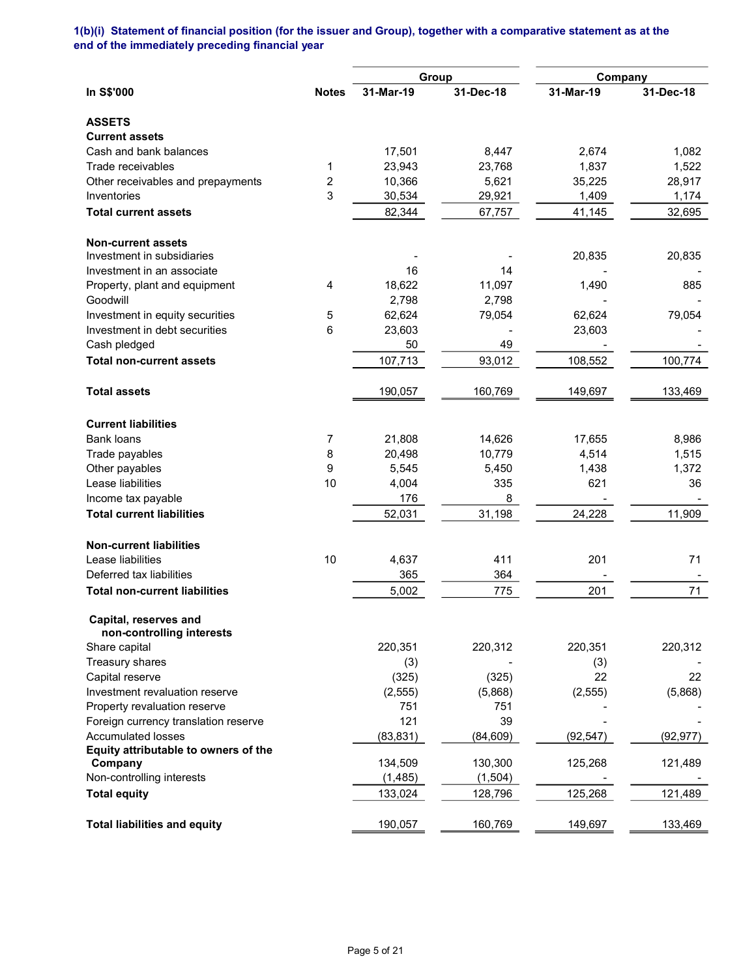# 1(b)(i) Statement of financial position (for the issuer and Group), together with a comparative statement as at the end of the immediately preceding financial year

|                                                    |                         |           | Group     | Company   |           |
|----------------------------------------------------|-------------------------|-----------|-----------|-----------|-----------|
| In S\$'000                                         | <b>Notes</b>            | 31-Mar-19 | 31-Dec-18 | 31-Mar-19 | 31-Dec-18 |
| <b>ASSETS</b>                                      |                         |           |           |           |           |
| <b>Current assets</b>                              |                         |           |           |           |           |
| Cash and bank balances                             |                         | 17,501    | 8,447     | 2,674     | 1,082     |
| Trade receivables                                  | 1                       | 23,943    | 23,768    | 1,837     | 1,522     |
| Other receivables and prepayments                  | $\overline{\mathbf{c}}$ | 10,366    | 5,621     | 35,225    | 28,917    |
| Inventories                                        | 3                       | 30,534    | 29,921    | 1,409     | 1,174     |
| <b>Total current assets</b>                        |                         | 82,344    | 67,757    | 41,145    | 32,695    |
| <b>Non-current assets</b>                          |                         |           |           |           |           |
| Investment in subsidiaries                         |                         |           |           | 20,835    | 20,835    |
| Investment in an associate                         |                         | 16        | 14        |           |           |
| Property, plant and equipment                      | 4                       | 18,622    | 11,097    | 1,490     | 885       |
| Goodwill                                           |                         | 2,798     | 2,798     |           |           |
| Investment in equity securities                    | 5                       | 62,624    | 79,054    | 62,624    | 79,054    |
| Investment in debt securities                      | 6                       | 23,603    |           | 23,603    |           |
| Cash pledged                                       |                         | 50        | 49        |           |           |
| <b>Total non-current assets</b>                    |                         | 107,713   | 93,012    | 108,552   | 100,774   |
| <b>Total assets</b>                                |                         | 190,057   | 160,769   | 149,697   | 133,469   |
| <b>Current liabilities</b>                         |                         |           |           |           |           |
| <b>Bank loans</b>                                  | 7                       | 21,808    | 14,626    | 17,655    | 8,986     |
| Trade payables                                     | 8                       | 20,498    | 10,779    | 4,514     | 1,515     |
| Other payables                                     | 9                       | 5,545     | 5,450     | 1,438     | 1,372     |
| Lease liabilities                                  | 10                      | 4,004     | 335       | 621       | 36        |
| Income tax payable                                 |                         | 176       | 8         |           |           |
| <b>Total current liabilities</b>                   |                         | 52,031    | 31,198    | 24,228    | 11,909    |
| <b>Non-current liabilities</b>                     |                         |           |           |           |           |
| Lease liabilities                                  | 10                      | 4,637     | 411       | 201       | 71        |
| Deferred tax liabilities                           |                         | 365       | 364       |           |           |
| <b>Total non-current liabilities</b>               |                         | 5,002     | 775       | 201       | 71        |
| Capital, reserves and<br>non-controlling interests |                         |           |           |           |           |
| Share capital                                      |                         | 220,351   | 220,312   | 220,351   | 220,312   |
| Treasury shares                                    |                         | (3)       |           | (3)       |           |
| Capital reserve                                    |                         | (325)     | (325)     | 22        | 22        |
| Investment revaluation reserve                     |                         | (2, 555)  | (5,868)   | (2, 555)  | (5,868)   |
| Property revaluation reserve                       |                         | 751       | 751       |           |           |
| Foreign currency translation reserve               |                         | 121       | 39        |           |           |
| <b>Accumulated losses</b>                          |                         | (83, 831) | (84, 609) | (92, 547) | (92, 977) |
| Equity attributable to owners of the               |                         |           |           |           |           |
| Company                                            |                         | 134,509   | 130,300   | 125,268   | 121,489   |
| Non-controlling interests                          |                         | (1, 485)  | (1,504)   |           |           |
| <b>Total equity</b>                                |                         | 133,024   | 128,796   | 125,268   | 121,489   |
| <b>Total liabilities and equity</b>                |                         | 190,057   | 160,769   | 149,697   | 133,469   |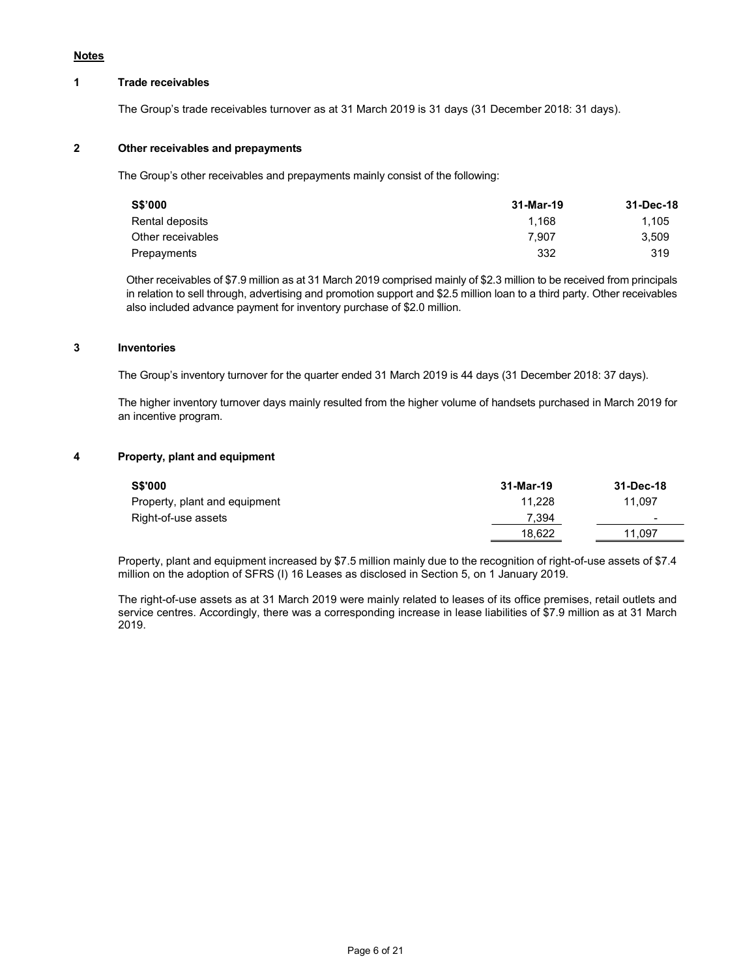### **Notes**

### 1 Trade receivables

The Group's trade receivables turnover as at 31 March 2019 is 31 days (31 December 2018: 31 days).

### 2 Other receivables and prepayments

The Group's other receivables and prepayments mainly consist of the following:

| 31-Mar-19 | 31-Dec-18 |
|-----------|-----------|
| 1.168     | 1.105     |
| 7.907     | 3.509     |
| 332       | 319       |
|           |           |

 Other receivables of \$7.9 million as at 31 March 2019 comprised mainly of \$2.3 million to be received from principals in relation to sell through, advertising and promotion support and \$2.5 million loan to a third party. Other receivables also included advance payment for inventory purchase of \$2.0 million.

#### 3 Inventories

The Group's inventory turnover for the quarter ended 31 March 2019 is 44 days (31 December 2018: 37 days).

 The higher inventory turnover days mainly resulted from the higher volume of handsets purchased in March 2019 for an incentive program.

#### 4 Property, plant and equipment

| <b>S\$'000</b>                | 31-Mar-19 | 31-Dec-18 |
|-------------------------------|-----------|-----------|
| Property, plant and equipment | 11.228    | 11.097    |
| Right-of-use assets           | 7.394     |           |
|                               | 18.622    | 11.097    |

 Property, plant and equipment increased by \$7.5 million mainly due to the recognition of right-of-use assets of \$7.4 million on the adoption of SFRS (I) 16 Leases as disclosed in Section 5, on 1 January 2019.

 The right-of-use assets as at 31 March 2019 were mainly related to leases of its office premises, retail outlets and service centres. Accordingly, there was a corresponding increase in lease liabilities of \$7.9 million as at 31 March 2019.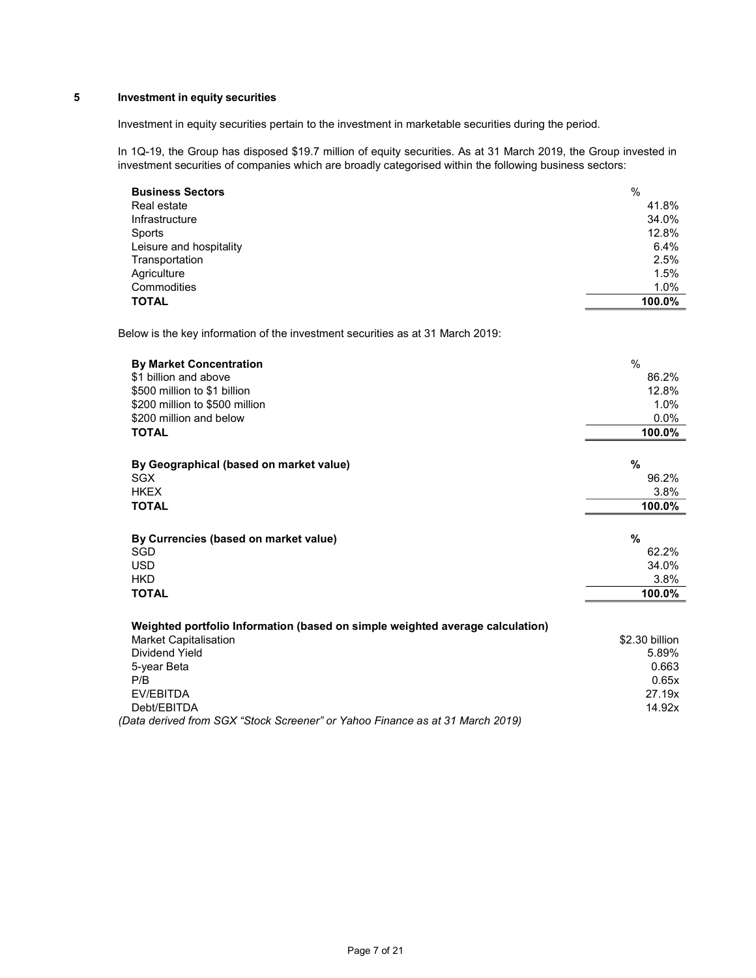# 5 Investment in equity securities

Investment in equity securities pertain to the investment in marketable securities during the period.

In 1Q-19, the Group has disposed \$19.7 million of equity securities. As at 31 March 2019, the Group invested in investment securities of companies which are broadly categorised within the following business sectors:

| <b>Business Sectors</b> | $\%$    |
|-------------------------|---------|
| Real estate             | 41.8%   |
| Infrastructure          | 34.0%   |
| Sports                  | 12.8%   |
| Leisure and hospitality | 6.4%    |
| Transportation          | 2.5%    |
| Agriculture             | 1.5%    |
| Commodities             | $1.0\%$ |
| <b>TOTAL</b>            | 100.0%  |

Below is the key information of the investment securities as at 31 March 2019:

| <b>By Market Concentration</b>                                                | $\frac{0}{0}$           |
|-------------------------------------------------------------------------------|-------------------------|
| \$1 billion and above                                                         | 86.2%                   |
| \$500 million to \$1 billion                                                  | 12.8%                   |
| \$200 million to \$500 million                                                | 1.0%                    |
| \$200 million and below                                                       | 0.0%                    |
| <b>TOTAL</b>                                                                  | 100.0%                  |
|                                                                               |                         |
| By Geographical (based on market value)                                       | %                       |
| <b>SGX</b>                                                                    | 96.2%                   |
| <b>HKEX</b>                                                                   | 3.8%                    |
| <b>TOTAL</b>                                                                  | 100.0%                  |
|                                                                               |                         |
| By Currencies (based on market value)                                         | $\frac{9}{6}$           |
| <b>SGD</b>                                                                    | 62.2%                   |
| <b>USD</b>                                                                    | 34.0%                   |
| <b>HKD</b>                                                                    | 3.8%                    |
| <b>TOTAL</b>                                                                  | 100.0%                  |
|                                                                               |                         |
| Weighted portfolio Information (based on simple weighted average calculation) |                         |
| <b>Market Capitalisation</b><br>Dividend Yield                                | \$2.30 billion<br>5.89% |
|                                                                               |                         |
| 5-year Beta                                                                   | 0.663                   |
| P/B                                                                           | 0.65x                   |
| EV/EBITDA                                                                     | 27.19x                  |
| Debt/EBITDA                                                                   | 14.92x                  |
| (Data derived from SGX "Stock Screener" or Yahoo Finance as at 31 March 2019) |                         |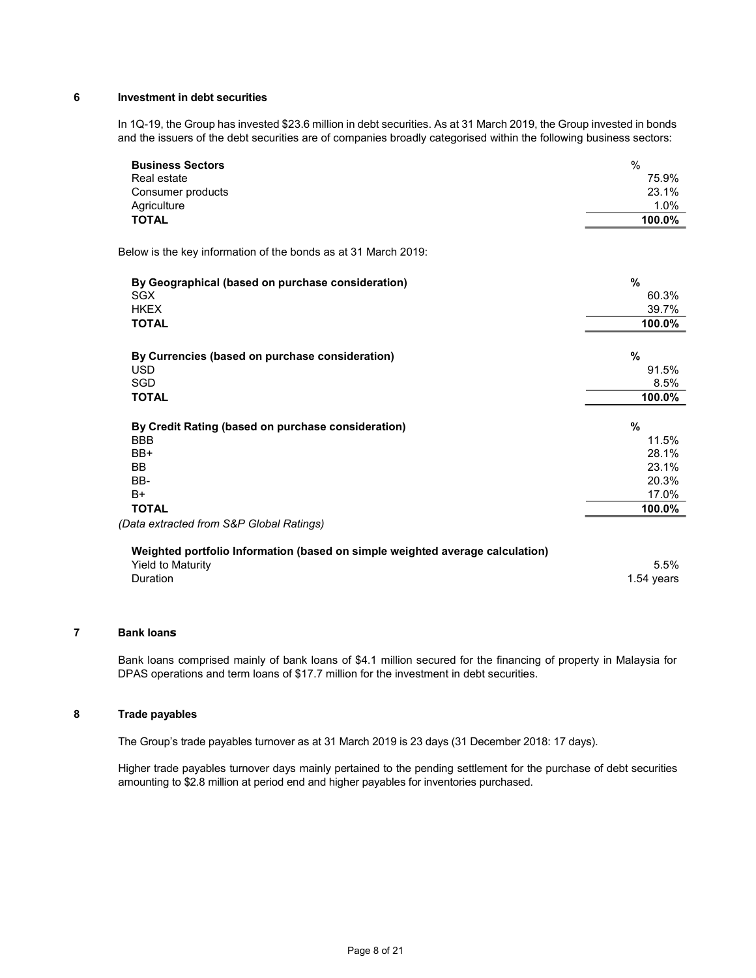# 6 Investment in debt securities

In 1Q-19, the Group has invested \$23.6 million in debt securities. As at 31 March 2019, the Group invested in bonds and the issuers of the debt securities are of companies broadly categorised within the following business sectors:

| <b>Business Sectors</b>                                                       | $\frac{0}{0}$ |
|-------------------------------------------------------------------------------|---------------|
| Real estate                                                                   | 75.9%         |
| Consumer products                                                             | 23.1%         |
| Agriculture                                                                   | 1.0%          |
| <b>TOTAL</b>                                                                  | 100.0%        |
| Below is the key information of the bonds as at 31 March 2019:                |               |
| By Geographical (based on purchase consideration)                             | %             |
| <b>SGX</b>                                                                    | 60.3%         |
| <b>HKEX</b>                                                                   | 39.7%         |
| <b>TOTAL</b>                                                                  | 100.0%        |
| By Currencies (based on purchase consideration)                               | %             |
| <b>USD</b>                                                                    | 91.5%         |
| SGD                                                                           | 8.5%          |
| <b>TOTAL</b>                                                                  | 100.0%        |
| By Credit Rating (based on purchase consideration)                            | %             |
| <b>BBB</b>                                                                    | 11.5%         |
| BB+                                                                           | 28.1%         |
| <b>BB</b>                                                                     | 23.1%         |
| BB-                                                                           | 20.3%         |
| $B+$                                                                          | 17.0%         |
| <b>TOTAL</b>                                                                  | 100.0%        |
| (Data extracted from S&P Global Ratings)                                      |               |
| Weighted portfolio Information (based on simple weighted average calculation) |               |
| <b>Yield to Maturity</b>                                                      | 5.5%          |
| Duration                                                                      | 1.54 years    |
|                                                                               |               |

# 7 Bank loans

 Bank loans comprised mainly of bank loans of \$4.1 million secured for the financing of property in Malaysia for DPAS operations and term loans of \$17.7 million for the investment in debt securities.

# 8 Trade payables

The Group's trade payables turnover as at 31 March 2019 is 23 days (31 December 2018: 17 days).

 Higher trade payables turnover days mainly pertained to the pending settlement for the purchase of debt securities amounting to \$2.8 million at period end and higher payables for inventories purchased.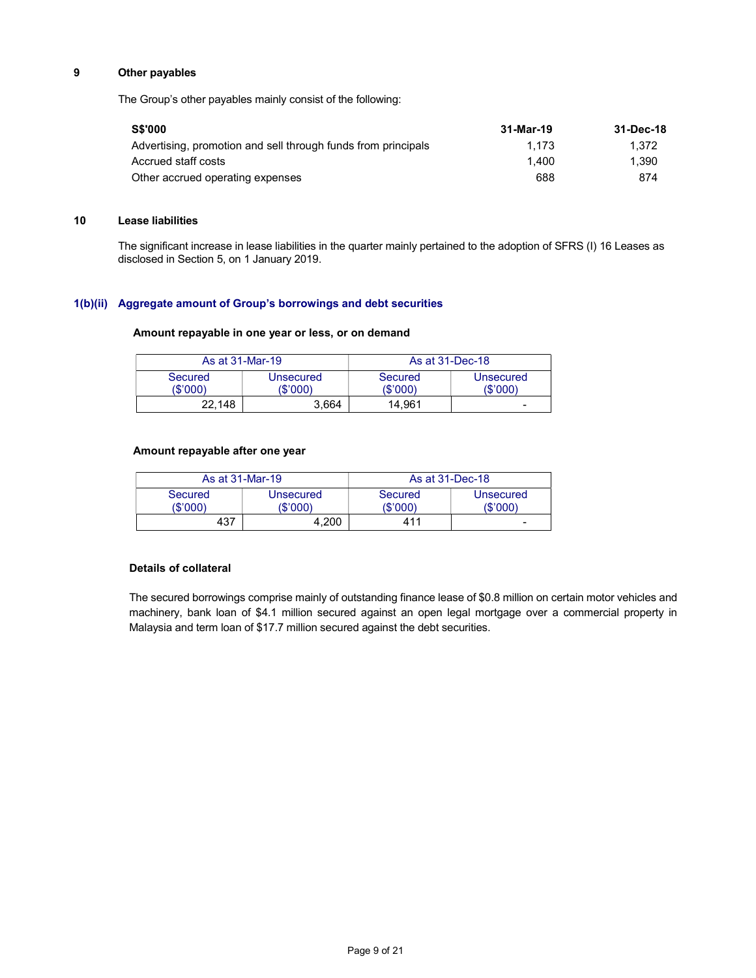# 9 Other payables

The Group's other payables mainly consist of the following:

| <b>S\$'000</b>                                                | 31-Mar-19 | 31-Dec-18 |
|---------------------------------------------------------------|-----------|-----------|
| Advertising, promotion and sell through funds from principals | 1.173     | 1.372     |
| Accrued staff costs                                           | 1.400     | 1.390     |
| Other accrued operating expenses                              | 688       | 874       |

## 10 Lease liabilities

The significant increase in lease liabilities in the quarter mainly pertained to the adoption of SFRS (I) 16 Leases as disclosed in Section 5, on 1 January 2019.

## 1(b)(ii) Aggregate amount of Group's borrowings and debt securities

# Amount repayable in one year or less, or on demand

| As at 31-Mar-19     |                       | As at 31-Dec-18     |                       |
|---------------------|-----------------------|---------------------|-----------------------|
| Secured<br>(\$'000) | Unsecured<br>(\$'000) | Secured<br>(\$'000) | Unsecured<br>(\$'000) |
| 22.148              | 3.664                 | 14.961              | -                     |

### Amount repayable after one year

|                     | As at 31-Mar-19 |                       |                     | As at 31-Dec-18              |
|---------------------|-----------------|-----------------------|---------------------|------------------------------|
| Secured<br>(\$'000) |                 | Unsecured<br>(\$'000) | Secured<br>(\$'000) | <b>Unsecured</b><br>(\$'000) |
|                     | 437             | 4.200                 | 411                 | -                            |

### Details of collateral

The secured borrowings comprise mainly of outstanding finance lease of \$0.8 million on certain motor vehicles and machinery, bank loan of \$4.1 million secured against an open legal mortgage over a commercial property in Malaysia and term loan of \$17.7 million secured against the debt securities.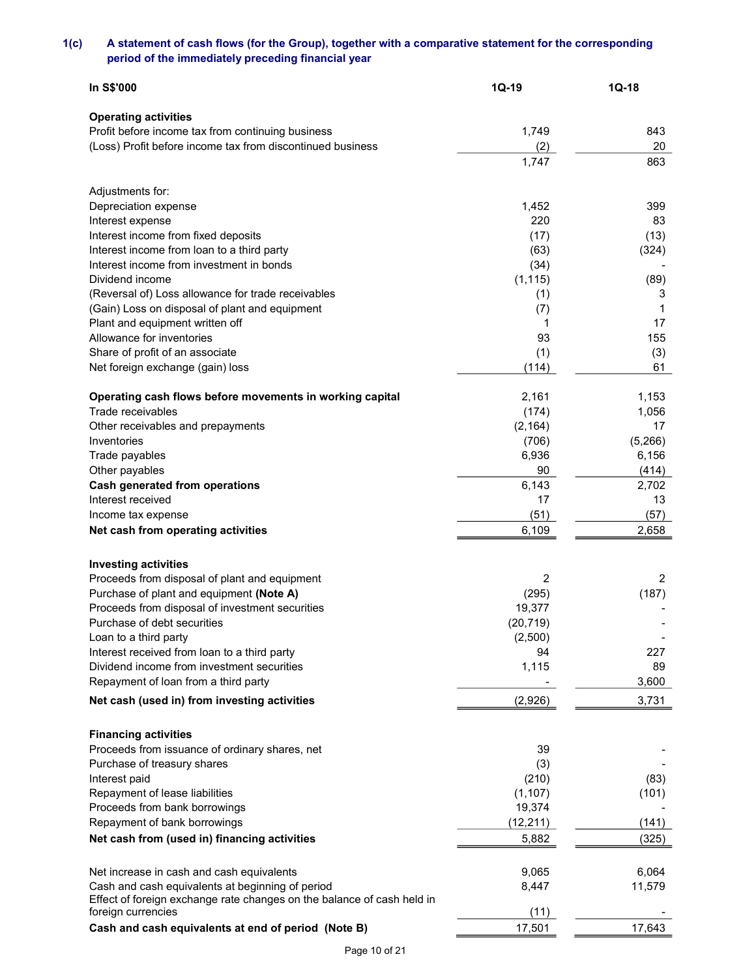# 1(c) A statement of cash flows (for the Group), together with a comparative statement for the corresponding period of the immediately preceding financial year

| In S\$'000                                                             | $1Q-19$   | $1Q-18$ |
|------------------------------------------------------------------------|-----------|---------|
| <b>Operating activities</b>                                            |           |         |
| Profit before income tax from continuing business                      | 1,749     | 843     |
| (Loss) Profit before income tax from discontinued business             | (2)       | 20      |
|                                                                        |           | 863     |
|                                                                        | 1,747     |         |
| Adjustments for:                                                       |           |         |
| Depreciation expense                                                   | 1,452     | 399     |
| Interest expense                                                       | 220       | 83      |
| Interest income from fixed deposits                                    | (17)      | (13)    |
| Interest income from loan to a third party                             | (63)      | (324)   |
| Interest income from investment in bonds                               | (34)      |         |
| Dividend income                                                        | (1, 115)  | (89)    |
| (Reversal of) Loss allowance for trade receivables                     | (1)       | 3       |
| (Gain) Loss on disposal of plant and equipment                         | (7)       | 1       |
| Plant and equipment written off                                        | 1         | 17      |
| Allowance for inventories                                              | 93        | 155     |
| Share of profit of an associate                                        | (1)       | (3)     |
| Net foreign exchange (gain) loss                                       | (114)     | 61      |
|                                                                        |           |         |
| Operating cash flows before movements in working capital               | 2,161     | 1,153   |
| Trade receivables                                                      | (174)     | 1,056   |
| Other receivables and prepayments                                      | (2, 164)  | 17      |
| Inventories                                                            | (706)     | (5,266) |
| Trade payables                                                         | 6,936     | 6,156   |
| Other payables                                                         | 90        | (414)   |
| <b>Cash generated from operations</b>                                  | 6,143     | 2,702   |
| Interest received                                                      | 17        | 13      |
| Income tax expense                                                     | (51)      | (57)    |
| Net cash from operating activities                                     | 6,109     | 2,658   |
|                                                                        |           |         |
| <b>Investing activities</b>                                            |           |         |
| Proceeds from disposal of plant and equipment                          | 2         | 2       |
| Purchase of plant and equipment (Note A)                               | (295)     | (187)   |
| Proceeds from disposal of investment securities                        | 19,377    |         |
| Purchase of debt securities                                            | (20, 719) |         |
| Loan to a third party                                                  | (2,500)   |         |
| Interest received from loan to a third party                           | 94        | 227     |
| Dividend income from investment securities                             | 1,115     | 89      |
| Repayment of loan from a third party                                   |           | 3,600   |
| Net cash (used in) from investing activities                           | (2,926)   | 3,731   |
|                                                                        |           |         |
| <b>Financing activities</b>                                            |           |         |
| Proceeds from issuance of ordinary shares, net                         | 39        |         |
| Purchase of treasury shares                                            | (3)       |         |
| Interest paid                                                          | (210)     | (83)    |
| Repayment of lease liabilities                                         | (1, 107)  | (101)   |
| Proceeds from bank borrowings                                          | 19,374    |         |
| Repayment of bank borrowings                                           | (12, 211) | (141)   |
| Net cash from (used in) financing activities                           | 5,882     | (325)   |
| Net increase in cash and cash equivalents                              | 9,065     | 6,064   |
| Cash and cash equivalents at beginning of period                       | 8,447     | 11,579  |
| Effect of foreign exchange rate changes on the balance of cash held in |           |         |
| foreign currencies                                                     | (11)      |         |
| Cash and cash equivalents at end of period (Note B)                    | 17,501    | 17,643  |
|                                                                        |           |         |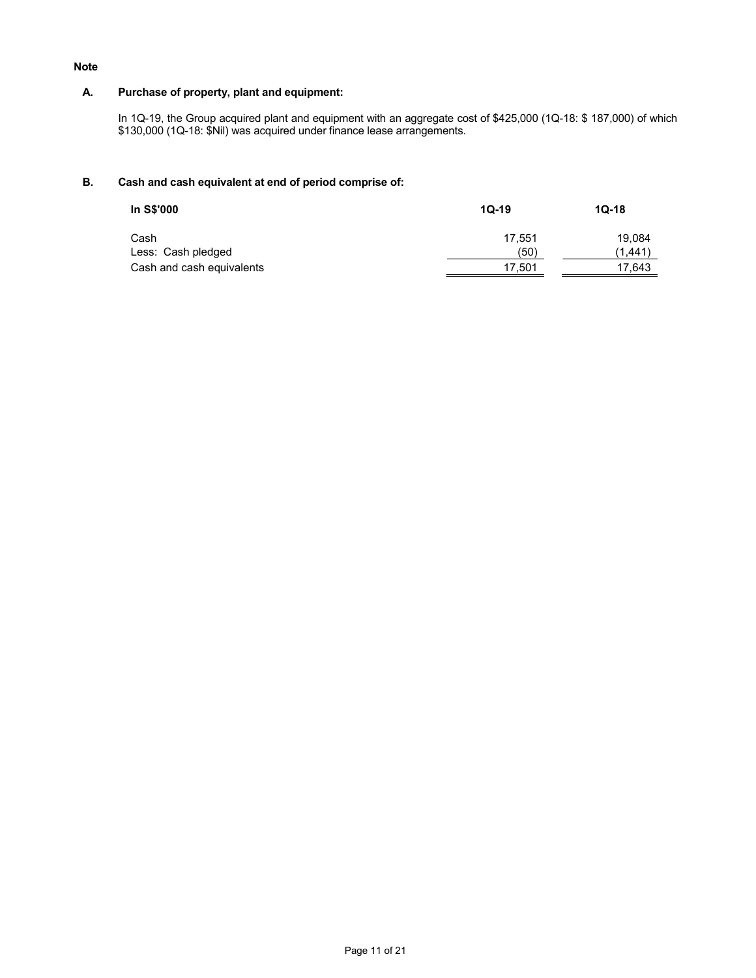### Note

## A. Purchase of property, plant and equipment:

In 1Q-19, the Group acquired plant and equipment with an aggregate cost of \$425,000 (1Q-18: \$ 187,000) of which \$130,000 (1Q-18: \$Nil) was acquired under finance lease arrangements.

# B. Cash and cash equivalent at end of period comprise of:

| In S\$'000                | $10-19$ | $1Q-18$ |
|---------------------------|---------|---------|
| Cash                      | 17.551  | 19.084  |
| Less: Cash pledged        | (50)    | (1.441  |
| Cash and cash equivalents | 17,501  | 17.643  |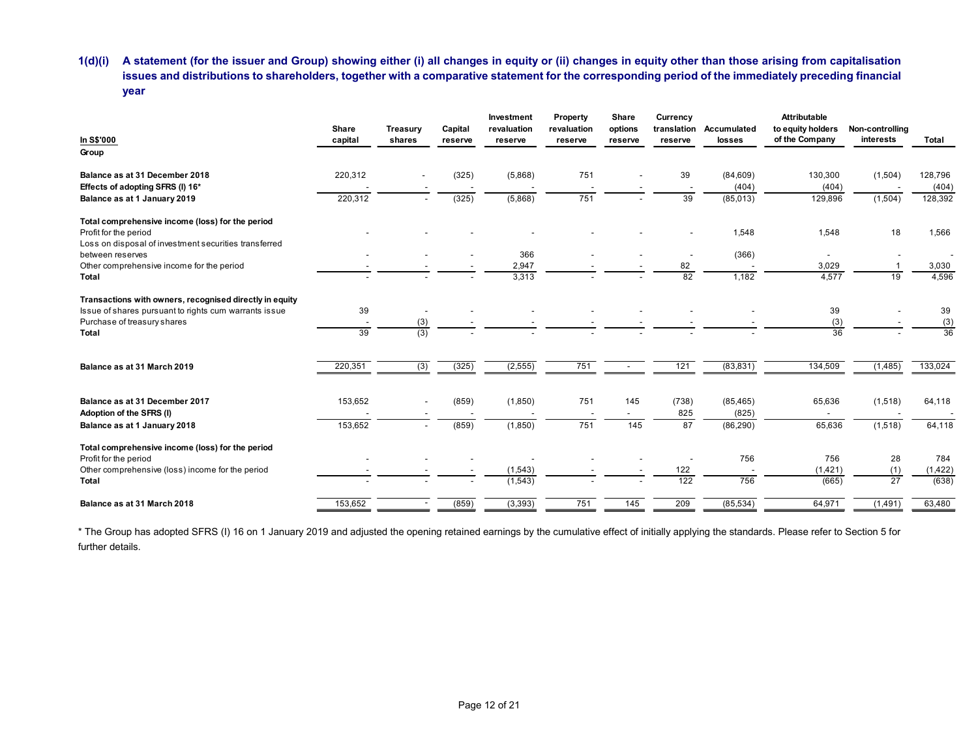| A statement (for the issuer and Group) showing either (i) all changes in equity or (ii) changes in equity other than those arising from capitalisation<br>1(d)(i) |                                |                 |                          |                          |             |                          |                                |                                   |                     |                          |                                   |
|-------------------------------------------------------------------------------------------------------------------------------------------------------------------|--------------------------------|-----------------|--------------------------|--------------------------|-------------|--------------------------|--------------------------------|-----------------------------------|---------------------|--------------------------|-----------------------------------|
|                                                                                                                                                                   |                                |                 |                          |                          |             |                          |                                |                                   |                     |                          |                                   |
|                                                                                                                                                                   |                                |                 |                          |                          |             |                          |                                |                                   |                     |                          |                                   |
|                                                                                                                                                                   |                                |                 |                          |                          |             |                          |                                |                                   |                     |                          |                                   |
|                                                                                                                                                                   |                                |                 |                          |                          |             |                          |                                |                                   |                     |                          |                                   |
|                                                                                                                                                                   |                                |                 |                          |                          |             |                          |                                |                                   |                     |                          |                                   |
|                                                                                                                                                                   |                                |                 |                          |                          |             |                          |                                |                                   |                     |                          |                                   |
|                                                                                                                                                                   |                                |                 |                          |                          |             |                          |                                |                                   |                     |                          |                                   |
|                                                                                                                                                                   |                                |                 |                          |                          |             |                          |                                |                                   |                     |                          |                                   |
|                                                                                                                                                                   |                                |                 |                          |                          |             |                          |                                |                                   |                     |                          |                                   |
|                                                                                                                                                                   |                                |                 |                          |                          |             |                          |                                |                                   |                     |                          |                                   |
|                                                                                                                                                                   |                                |                 |                          |                          |             |                          |                                |                                   |                     |                          |                                   |
|                                                                                                                                                                   |                                |                 |                          |                          |             |                          |                                |                                   |                     |                          |                                   |
| issues and distributions to shareholders, together with a comparative statement for the corresponding period of the immediately preceding financial               |                                |                 |                          |                          |             |                          |                                |                                   |                     |                          |                                   |
| year                                                                                                                                                              |                                |                 |                          |                          |             |                          |                                |                                   |                     |                          |                                   |
|                                                                                                                                                                   |                                |                 |                          |                          |             |                          |                                |                                   |                     |                          |                                   |
|                                                                                                                                                                   |                                |                 |                          | Investment               | Property    | Share                    | Currency                       |                                   | <b>Attributable</b> |                          |                                   |
|                                                                                                                                                                   | Share                          | <b>Treasury</b> | Capital                  | revaluation              | revaluation | options                  | translation                    | Accumulated                       | to equity holders   | Non-controlling          |                                   |
| In S\$'000<br>Group                                                                                                                                               | capital                        | shares          | reserve                  | reserve                  | reserve     | reserve                  | reserve                        | losses                            | of the Company      | interests                | Total                             |
|                                                                                                                                                                   |                                |                 |                          |                          |             |                          |                                |                                   |                     |                          |                                   |
| Balance as at 31 December 2018                                                                                                                                    | 220,312                        |                 | (325)                    | (5,868)                  | 751         |                          | 39                             | (84, 609)                         | 130,300             | (1,504)                  | 128,796                           |
| Effects of adopting SFRS (I) 16*                                                                                                                                  |                                |                 |                          |                          |             |                          |                                | (404)                             | (404)               |                          | (404)                             |
| Balance as at 1 January 2019                                                                                                                                      | 220,312                        |                 | (325)                    | (5,868)                  | 751         |                          | 39                             | (85, 013)                         | 129,896             | (1,504)                  | 128,392                           |
| Total comprehensive income (loss) for the period                                                                                                                  |                                |                 |                          |                          |             |                          |                                |                                   |                     |                          |                                   |
| Profit for the period                                                                                                                                             |                                |                 |                          |                          |             |                          |                                | 1,548                             | 1,548               | 18                       | 1,566                             |
| Loss on disposal of investment securities transferred                                                                                                             |                                |                 |                          |                          |             |                          |                                |                                   |                     |                          |                                   |
| between reserves<br>Other comprehensive income for the period                                                                                                     |                                |                 |                          | 366<br>2,947             |             |                          | $\overline{\phantom{a}}$<br>82 | (366)<br>$\overline{\phantom{a}}$ | $\sim$<br>3,029     | $\overline{\phantom{a}}$ | $\overline{\phantom{a}}$<br>3,030 |
| Total                                                                                                                                                             |                                |                 |                          | 3,313                    |             |                          | 82                             | 1,182                             | 4,577               | 19                       | 4,596                             |
|                                                                                                                                                                   |                                |                 |                          |                          |             |                          |                                |                                   |                     |                          |                                   |
| Transactions with owners, recognised directly in equity                                                                                                           |                                |                 |                          |                          |             |                          |                                |                                   |                     |                          |                                   |
| Issue of shares pursuant to rights cum warrants issue<br>Purchase of treasury shares                                                                              | 39<br>$\overline{\phantom{a}}$ | $\sim$<br>(3)   |                          |                          |             |                          |                                |                                   | 39<br>(3)           |                          | 39                                |
| Total                                                                                                                                                             | 39                             | (3)             |                          |                          |             |                          |                                |                                   | 36                  |                          | $\frac{(3)}{36}$                  |
|                                                                                                                                                                   |                                |                 |                          |                          |             |                          |                                |                                   |                     |                          |                                   |
|                                                                                                                                                                   | 220,351                        | (3)             | (325)                    | (2, 555)                 | 751         |                          | 121                            | (83, 831)                         | 134,509             | (1, 485)                 | 133,024                           |
|                                                                                                                                                                   |                                |                 |                          |                          |             | $\sim 10^{-11}$          |                                |                                   |                     |                          |                                   |
|                                                                                                                                                                   |                                |                 |                          |                          |             |                          |                                |                                   |                     |                          |                                   |
|                                                                                                                                                                   |                                |                 |                          | (1,850)                  | 751         | 145                      | (738)                          | (85, 465)                         | 65,636              | (1,518)                  | 64,118                            |
| Balance as at 31 March 2019<br>Balance as at 31 December 2017                                                                                                     | 153,652                        |                 | (859)                    |                          |             |                          | 825                            | (825)                             |                     |                          |                                   |
|                                                                                                                                                                   |                                |                 |                          |                          |             |                          | 87                             |                                   |                     |                          |                                   |
|                                                                                                                                                                   | 153,652                        | $\sim$          | (859)                    | (1,850)                  | 751         | 145                      |                                | (86, 290)                         | 65,636              | (1,518)                  | 64,118                            |
|                                                                                                                                                                   |                                |                 |                          |                          |             |                          |                                |                                   |                     |                          |                                   |
| Adoption of the SFRS (I)<br>Balance as at 1 January 2018<br>Total comprehensive income (loss) for the period<br>Profit for the period                             |                                |                 | $\sim$                   | $\overline{\phantom{a}}$ |             | $\overline{\phantom{a}}$ | $\sim$                         | 756                               | 756                 | 28                       | 784                               |
| Other comprehensive (loss) income for the period                                                                                                                  |                                |                 | $\overline{\phantom{a}}$ | (1,543)                  |             |                          | 122                            | $\sim$                            | (1,421)             | (1)                      | (1, 422)                          |
| Total                                                                                                                                                             |                                |                 |                          | (1, 543)                 |             |                          | 122                            | 756                               | (665)               | $\overline{27}$          | (638)                             |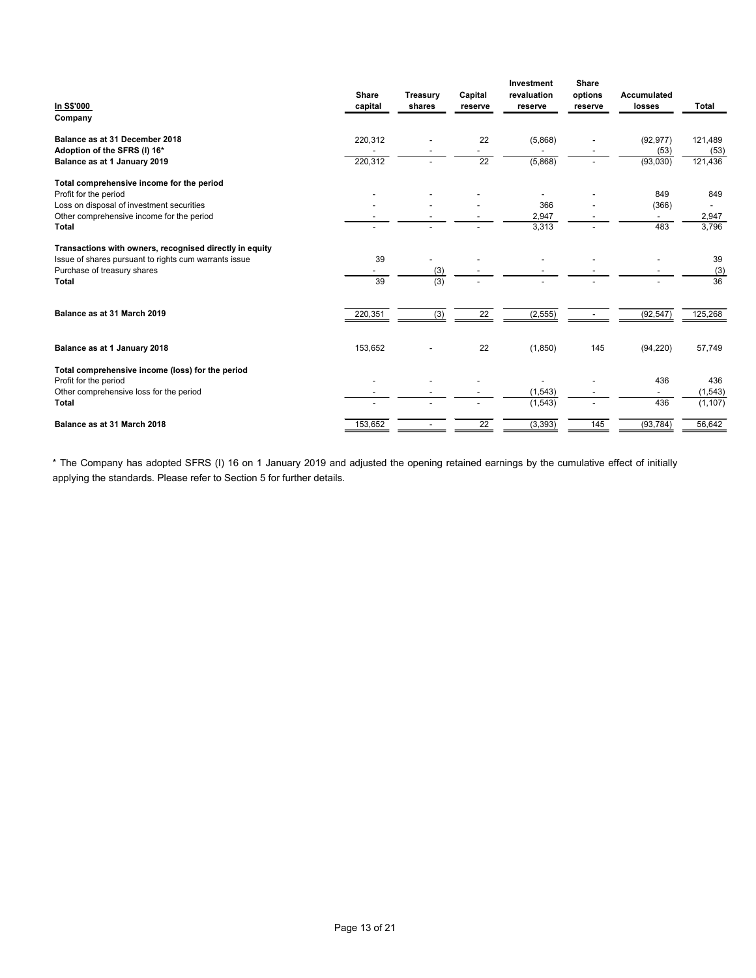|                                                                                                                  |                          |                 |                          | Investment               | Share                    |                                 |                 |
|------------------------------------------------------------------------------------------------------------------|--------------------------|-----------------|--------------------------|--------------------------|--------------------------|---------------------------------|-----------------|
|                                                                                                                  | Share                    | <b>Treasury</b> | Capital                  | revaluation              | options                  | Accumulated                     |                 |
| In S\$'000                                                                                                       | capital                  | shares          | reserve                  | reserve                  | reserve                  | losses                          | Total           |
| Company                                                                                                          |                          |                 |                          |                          |                          |                                 |                 |
| Balance as at 31 December 2018                                                                                   | 220,312                  |                 | 22                       | (5,868)                  |                          | (92, 977)                       | 121,489         |
| Adoption of the SFRS (I) 16*                                                                                     |                          |                 | $\blacksquare$           | $\blacksquare$           |                          | (53)                            | (53)            |
| Balance as at 1 January 2019                                                                                     | 220,312                  |                 | 22                       | (5,868)                  | $\overline{\phantom{0}}$ | (93,030)                        | 121,436         |
|                                                                                                                  |                          |                 |                          |                          |                          |                                 |                 |
| Total comprehensive income for the period<br>Profit for the period                                               |                          |                 |                          | $\overline{\phantom{a}}$ |                          | 849                             | 849             |
| Loss on disposal of investment securities                                                                        |                          |                 |                          | 366                      |                          | (366)                           | $\sim$          |
| Other comprehensive income for the period                                                                        |                          |                 |                          | 2,947                    |                          | $\overline{\phantom{a}}$        | 2,947           |
| Total                                                                                                            |                          |                 |                          | 3,313                    | $\overline{\phantom{a}}$ | 483                             | 3,796           |
|                                                                                                                  |                          |                 |                          |                          |                          |                                 |                 |
| Transactions with owners, recognised directly in equity<br>Issue of shares pursuant to rights cum warrants issue | 39                       |                 |                          | $\overline{\phantom{a}}$ |                          |                                 | 39              |
|                                                                                                                  | $\overline{\phantom{a}}$ | (3)             |                          | $\overline{\phantom{a}}$ | $\overline{\phantom{a}}$ |                                 | (3)             |
|                                                                                                                  | 39                       | (3)             |                          |                          |                          |                                 | 36              |
| Total                                                                                                            |                          |                 |                          |                          |                          |                                 |                 |
| Purchase of treasury shares                                                                                      |                          |                 | 22                       |                          | $\sim$                   | (92, 547)                       | 125,268         |
|                                                                                                                  |                          |                 |                          | (2, 555)                 |                          |                                 |                 |
| Balance as at 31 March 2019                                                                                      | 220,351                  | (3)             |                          |                          |                          |                                 |                 |
|                                                                                                                  |                          |                 |                          |                          |                          |                                 |                 |
| Balance as at 1 January 2018                                                                                     | 153,652                  |                 | 22                       | (1,850)                  | 145                      | (94, 220)                       | 57,749          |
|                                                                                                                  |                          |                 |                          |                          |                          |                                 |                 |
| Total comprehensive income (loss) for the period                                                                 | $\overline{\phantom{a}}$ |                 | $\overline{\phantom{a}}$ | $\overline{\phantom{a}}$ | $\overline{\phantom{a}}$ |                                 |                 |
| Profit for the period<br>Other comprehensive loss for the period                                                 |                          |                 |                          | (1, 543)                 | $\overline{\phantom{a}}$ | 436<br>$\overline{\phantom{a}}$ | 436<br>(1, 543) |
| Total                                                                                                            |                          |                 | $\sim$                   | (1, 543)                 | $\overline{\phantom{a}}$ | 436                             | (1, 107)        |
| Balance as at 31 March 2018                                                                                      | 153,652                  |                 | 22                       | (3, 393)                 | 145                      | (93, 784)                       | 56,642          |

\* The Company has adopted SFRS (I) 16 on 1 January 2019 and adjusted the opening retained earnings by the cumulative effect of initially applying the standards. Please refer to Section 5 for further details.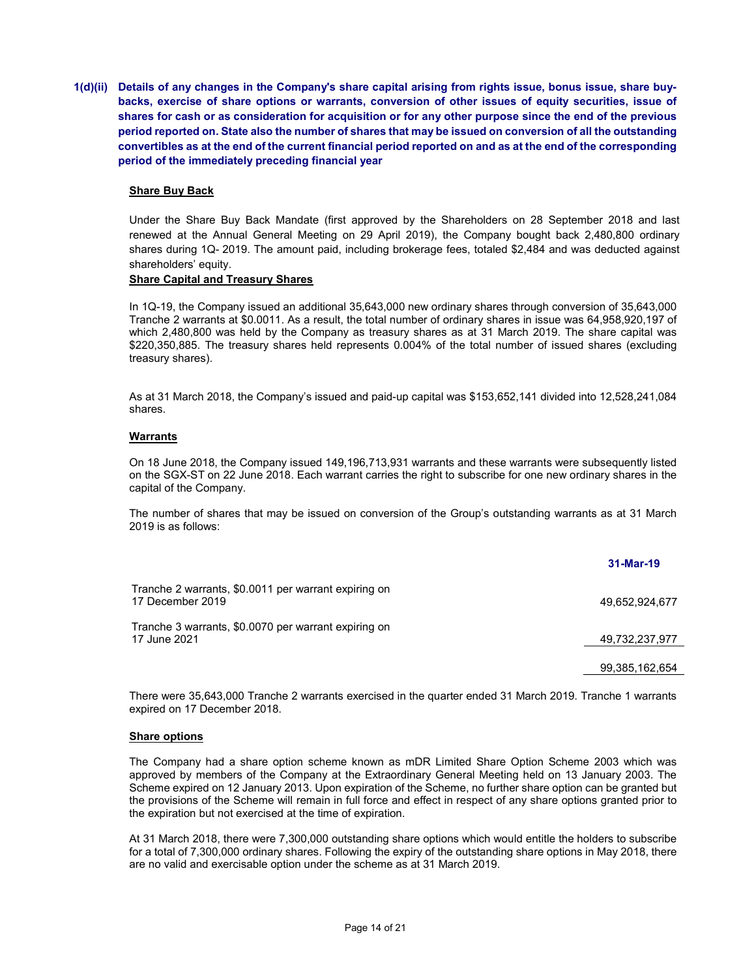1(d)(ii) Details of any changes in the Company's share capital arising from rights issue, bonus issue, share buybacks, exercise of share options or warrants, conversion of other issues of equity securities, issue of shares for cash or as consideration for acquisition or for any other purpose since the end of the previous period reported on. State also the number of shares that may be issued on conversion of all the outstanding convertibles as at the end of the current financial period reported on and as at the end of the corresponding period of the immediately preceding financial year

### Share Buy Back

Under the Share Buy Back Mandate (first approved by the Shareholders on 28 September 2018 and last renewed at the Annual General Meeting on 29 April 2019), the Company bought back 2,480,800 ordinary shares during 1Q- 2019. The amount paid, including brokerage fees, totaled \$2,484 and was deducted against shareholders' equity.

## Share Capital and Treasury Shares

In 1Q-19, the Company issued an additional 35,643,000 new ordinary shares through conversion of 35,643,000 Tranche 2 warrants at \$0.0011. As a result, the total number of ordinary shares in issue was 64,958,920,197 of which 2,480,800 was held by the Company as treasury shares as at 31 March 2019. The share capital was \$220,350,885. The treasury shares held represents 0.004% of the total number of issued shares (excluding treasury shares).

As at 31 March 2018, the Company's issued and paid-up capital was \$153,652,141 divided into 12,528,241,084 shares.

### **Warrants**

On 18 June 2018, the Company issued 149,196,713,931 warrants and these warrants were subsequently listed on the SGX-ST on 22 June 2018. Each warrant carries the right to subscribe for one new ordinary shares in the capital of the Company.

The number of shares that may be issued on conversion of the Group's outstanding warrants as at 31 March 2019 is as follows:

|                                                                          | 31-Mar-19      |
|--------------------------------------------------------------------------|----------------|
| Tranche 2 warrants, \$0,0011 per warrant expiring on<br>17 December 2019 | 49.652.924.677 |
| Tranche 3 warrants, \$0,0070 per warrant expiring on<br>17 June 2021     | 49,732,237,977 |
|                                                                          | 99,385,162,654 |

There were 35,643,000 Tranche 2 warrants exercised in the quarter ended 31 March 2019. Tranche 1 warrants expired on 17 December 2018.

### Share options

The Company had a share option scheme known as mDR Limited Share Option Scheme 2003 which was approved by members of the Company at the Extraordinary General Meeting held on 13 January 2003. The Scheme expired on 12 January 2013. Upon expiration of the Scheme, no further share option can be granted but the provisions of the Scheme will remain in full force and effect in respect of any share options granted prior to the expiration but not exercised at the time of expiration.

At 31 March 2018, there were 7,300,000 outstanding share options which would entitle the holders to subscribe for a total of 7,300,000 ordinary shares. Following the expiry of the outstanding share options in May 2018, there are no valid and exercisable option under the scheme as at 31 March 2019.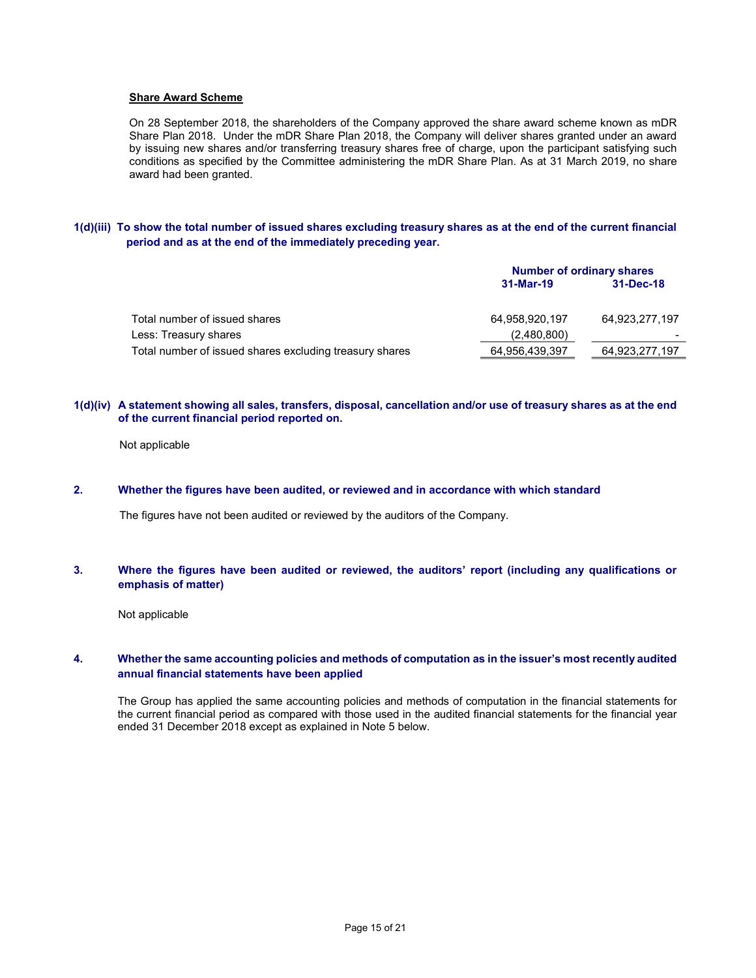#### Share Award Scheme

On 28 September 2018, the shareholders of the Company approved the share award scheme known as mDR Share Plan 2018. Under the mDR Share Plan 2018, the Company will deliver shares granted under an award by issuing new shares and/or transferring treasury shares free of charge, upon the participant satisfying such conditions as specified by the Committee administering the mDR Share Plan. As at 31 March 2019, no share award had been granted.

### 1(d)(iii) To show the total number of issued shares excluding treasury shares as at the end of the current financial period and as at the end of the immediately preceding year.

|                                                         | <b>Number of ordinary shares</b> |                |  |
|---------------------------------------------------------|----------------------------------|----------------|--|
|                                                         | 31-Mar-19                        | 31-Dec-18      |  |
| Total number of issued shares                           | 64.958.920.197                   | 64.923.277.197 |  |
| Less: Treasury shares                                   | (2,480,800)                      |                |  |
| Total number of issued shares excluding treasury shares | 64,956,439,397                   | 64,923,277,197 |  |

#### 1(d)(iv) A statement showing all sales, transfers, disposal, cancellation and/or use of treasury shares as at the end of the current financial period reported on.

Not applicable

# 2. Whether the figures have been audited, or reviewed and in accordance with which standard

The figures have not been audited or reviewed by the auditors of the Company.

### 3. Where the figures have been audited or reviewed, the auditors' report (including any qualifications or emphasis of matter)

Not applicable

## 4. Whether the same accounting policies and methods of computation as in the issuer's most recently audited annual financial statements have been applied

The Group has applied the same accounting policies and methods of computation in the financial statements for the current financial period as compared with those used in the audited financial statements for the financial year ended 31 December 2018 except as explained in Note 5 below.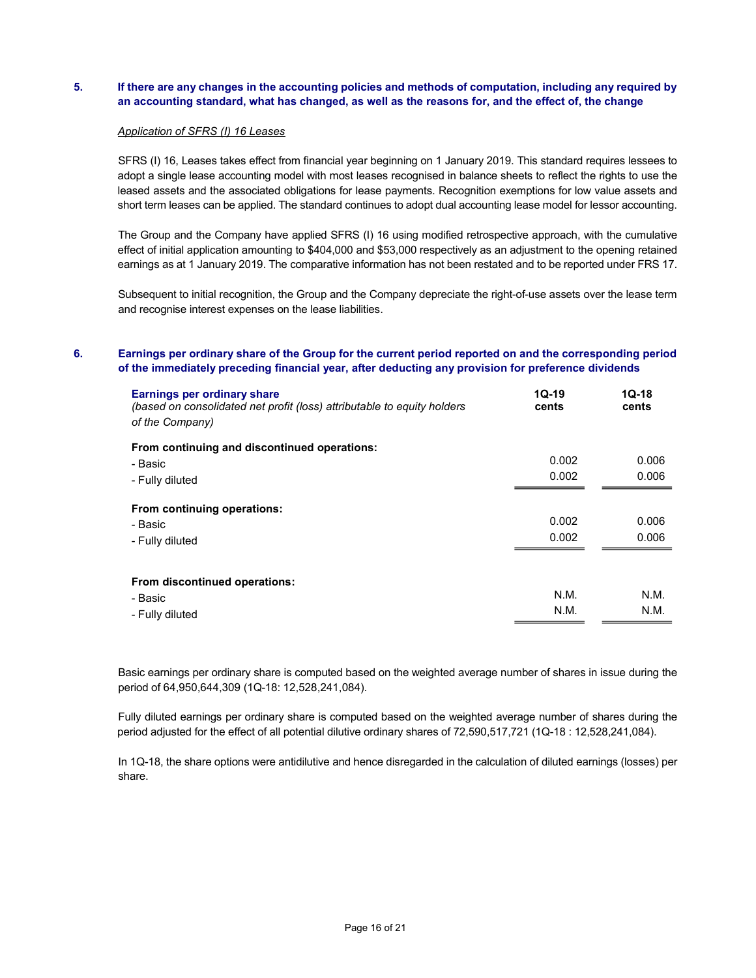# 5. If there are any changes in the accounting policies and methods of computation, including any required by an accounting standard, what has changed, as well as the reasons for, and the effect of, the change

#### Application of SFRS (I) 16 Leases

SFRS (I) 16, Leases takes effect from financial year beginning on 1 January 2019. This standard requires lessees to adopt a single lease accounting model with most leases recognised in balance sheets to reflect the rights to use the leased assets and the associated obligations for lease payments. Recognition exemptions for low value assets and short term leases can be applied. The standard continues to adopt dual accounting lease model for lessor accounting.

The Group and the Company have applied SFRS (I) 16 using modified retrospective approach, with the cumulative effect of initial application amounting to \$404,000 and \$53,000 respectively as an adjustment to the opening retained earnings as at 1 January 2019. The comparative information has not been restated and to be reported under FRS 17.

Subsequent to initial recognition, the Group and the Company depreciate the right-of-use assets over the lease term and recognise interest expenses on the lease liabilities.

# 6. Earnings per ordinary share of the Group for the current period reported on and the corresponding period of the immediately preceding financial year, after deducting any provision for preference dividends

| Earnings per ordinary share<br>(based on consolidated net profit (loss) attributable to equity holders<br>of the Company) | $1Q-19$<br>cents | $1Q-18$<br>cents |
|---------------------------------------------------------------------------------------------------------------------------|------------------|------------------|
| From continuing and discontinued operations:                                                                              |                  |                  |
| - Basic                                                                                                                   | 0.002            | 0.006            |
| - Fully diluted                                                                                                           | 0.002            | 0.006            |
| From continuing operations:<br>- Basic<br>- Fully diluted                                                                 | 0.002<br>0.002   | 0.006<br>0.006   |
| From discontinued operations:<br>- Basic<br>- Fully diluted                                                               | N.M.<br>N.M.     | N.M.<br>N.M.     |

Basic earnings per ordinary share is computed based on the weighted average number of shares in issue during the period of 64,950,644,309 (1Q-18: 12,528,241,084).

 Fully diluted earnings per ordinary share is computed based on the weighted average number of shares during the period adjusted for the effect of all potential dilutive ordinary shares of 72,590,517,721 (1Q-18 : 12,528,241,084).

In 1Q-18, the share options were antidilutive and hence disregarded in the calculation of diluted earnings (losses) per share.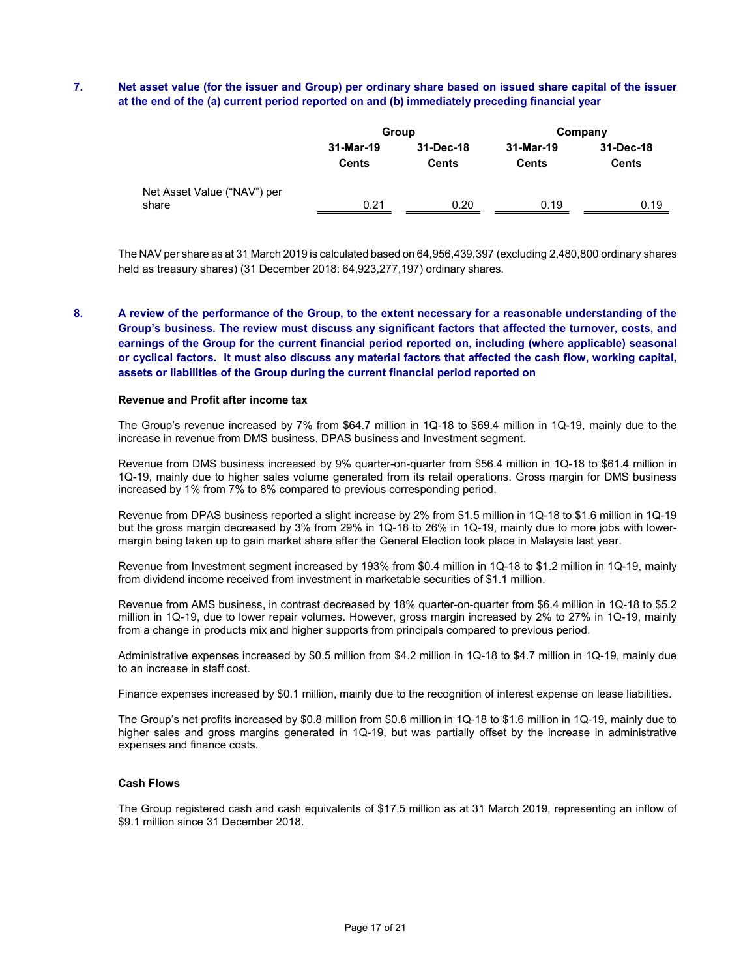# 7. Net asset value (for the issuer and Group) per ordinary share based on issued share capital of the issuer at the end of the (a) current period reported on and (b) immediately preceding financial year

|                                      |                           | Group                     |                    | Company                   |
|--------------------------------------|---------------------------|---------------------------|--------------------|---------------------------|
|                                      | 31-Mar-19<br><b>Cents</b> | 31-Dec-18<br><b>Cents</b> | 31-Mar-19<br>Cents | 31-Dec-18<br><b>Cents</b> |
| Net Asset Value ("NAV") per<br>share | 0.21                      | 0.20                      | 0.19               | 0.19                      |

The NAV per share as at 31 March 2019 is calculated based on 64,956,439,397 (excluding 2,480,800 ordinary shares held as treasury shares) (31 December 2018: 64,923,277,197) ordinary shares.

8. A review of the performance of the Group, to the extent necessary for a reasonable understanding of the Group's business. The review must discuss any significant factors that affected the turnover, costs, and earnings of the Group for the current financial period reported on, including (where applicable) seasonal or cyclical factors. It must also discuss any material factors that affected the cash flow, working capital, assets or liabilities of the Group during the current financial period reported on

#### Revenue and Profit after income tax

The Group's revenue increased by 7% from \$64.7 million in 1Q-18 to \$69.4 million in 1Q-19, mainly due to the increase in revenue from DMS business, DPAS business and Investment segment.

Revenue from DMS business increased by 9% quarter-on-quarter from \$56.4 million in 1Q-18 to \$61.4 million in 1Q-19, mainly due to higher sales volume generated from its retail operations. Gross margin for DMS business increased by 1% from 7% to 8% compared to previous corresponding period.

Revenue from DPAS business reported a slight increase by 2% from \$1.5 million in 1Q-18 to \$1.6 million in 1Q-19 but the gross margin decreased by 3% from 29% in 1Q-18 to 26% in 1Q-19, mainly due to more jobs with lowermargin being taken up to gain market share after the General Election took place in Malaysia last year.

Revenue from Investment segment increased by 193% from \$0.4 million in 1Q-18 to \$1.2 million in 1Q-19, mainly from dividend income received from investment in marketable securities of \$1.1 million.

Revenue from AMS business, in contrast decreased by 18% quarter-on-quarter from \$6.4 million in 1Q-18 to \$5.2 million in 1Q-19, due to lower repair volumes. However, gross margin increased by 2% to 27% in 1Q-19, mainly from a change in products mix and higher supports from principals compared to previous period.

Administrative expenses increased by \$0.5 million from \$4.2 million in 1Q-18 to \$4.7 million in 1Q-19, mainly due to an increase in staff cost.

Finance expenses increased by \$0.1 million, mainly due to the recognition of interest expense on lease liabilities.

The Group's net profits increased by \$0.8 million from \$0.8 million in 1Q-18 to \$1.6 million in 1Q-19, mainly due to higher sales and gross margins generated in 1Q-19, but was partially offset by the increase in administrative expenses and finance costs.

### Cash Flows

The Group registered cash and cash equivalents of \$17.5 million as at 31 March 2019, representing an inflow of \$9.1 million since 31 December 2018.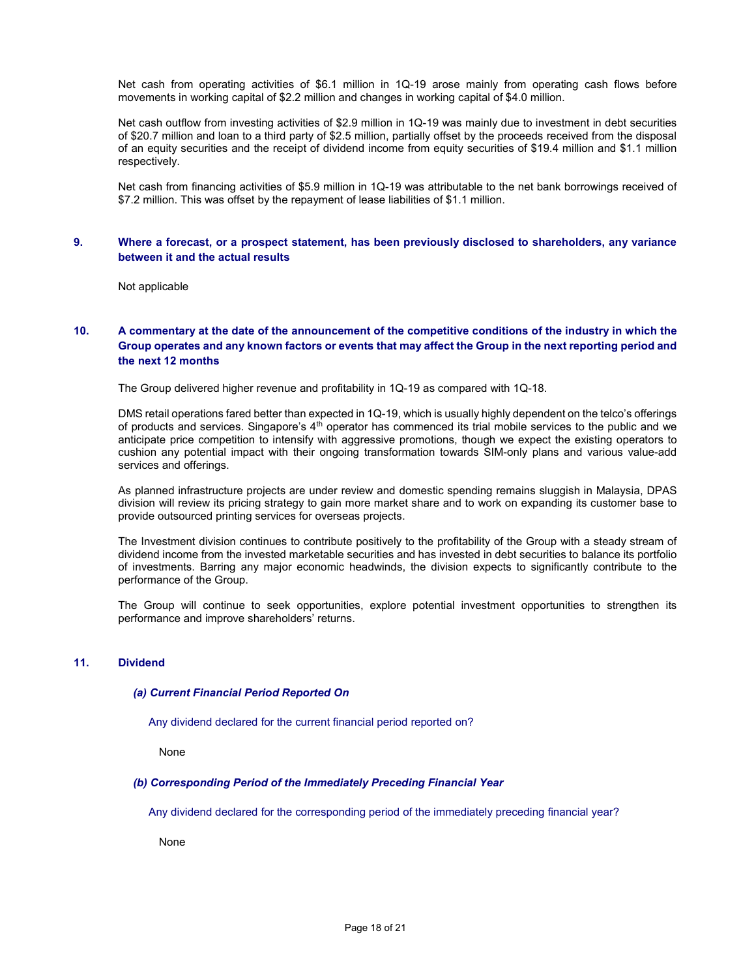Net cash from operating activities of \$6.1 million in 1Q-19 arose mainly from operating cash flows before movements in working capital of \$2.2 million and changes in working capital of \$4.0 million.

Net cash outflow from investing activities of \$2.9 million in 1Q-19 was mainly due to investment in debt securities of \$20.7 million and loan to a third party of \$2.5 million, partially offset by the proceeds received from the disposal of an equity securities and the receipt of dividend income from equity securities of \$19.4 million and \$1.1 million respectively.

Net cash from financing activities of \$5.9 million in 1Q-19 was attributable to the net bank borrowings received of \$7.2 million. This was offset by the repayment of lease liabilities of \$1.1 million.

### 9. Where a forecast, or a prospect statement, has been previously disclosed to shareholders, any variance between it and the actual results

Not applicable

## 10. A commentary at the date of the announcement of the competitive conditions of the industry in which the Group operates and any known factors or events that may affect the Group in the next reporting period and the next 12 months

The Group delivered higher revenue and profitability in 1Q-19 as compared with 1Q-18.

DMS retail operations fared better than expected in 1Q-19, which is usually highly dependent on the telco's offerings of products and services. Singapore's  $4<sup>th</sup>$  operator has commenced its trial mobile services to the public and we anticipate price competition to intensify with aggressive promotions, though we expect the existing operators to cushion any potential impact with their ongoing transformation towards SIM-only plans and various value-add services and offerings.

As planned infrastructure projects are under review and domestic spending remains sluggish in Malaysia, DPAS division will review its pricing strategy to gain more market share and to work on expanding its customer base to provide outsourced printing services for overseas projects.

The Investment division continues to contribute positively to the profitability of the Group with a steady stream of dividend income from the invested marketable securities and has invested in debt securities to balance its portfolio of investments. Barring any major economic headwinds, the division expects to significantly contribute to the performance of the Group.

The Group will continue to seek opportunities, explore potential investment opportunities to strengthen its performance and improve shareholders' returns.

#### 11. Dividend

#### (a) Current Financial Period Reported On

Any dividend declared for the current financial period reported on?

None

#### (b) Corresponding Period of the Immediately Preceding Financial Year

Any dividend declared for the corresponding period of the immediately preceding financial year?

None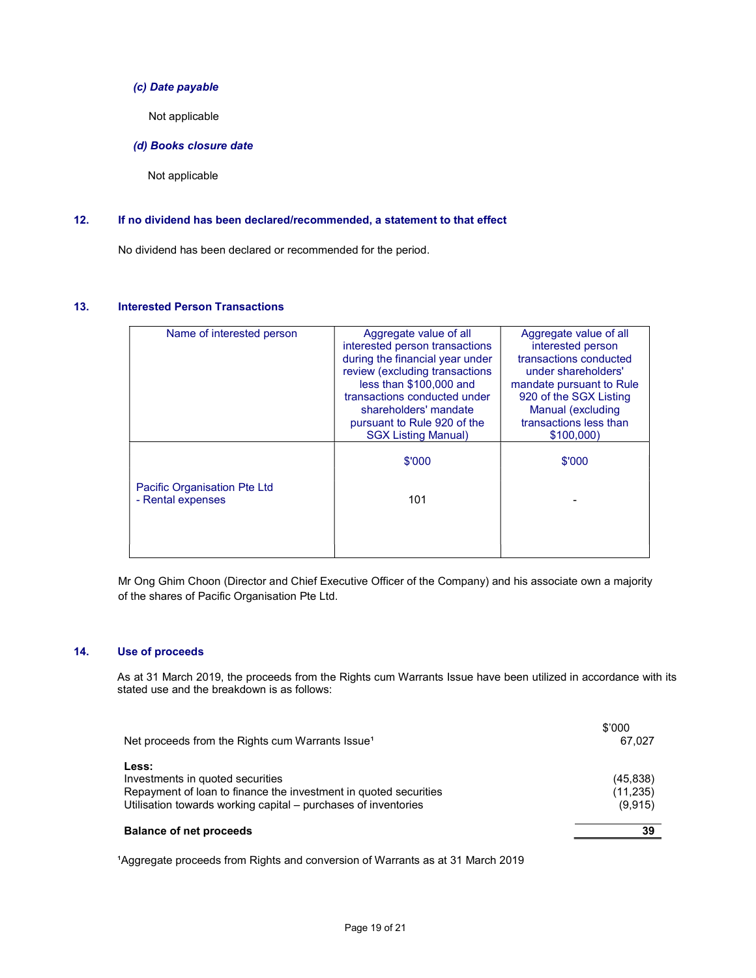# (c) Date payable

Not applicable

(d) Books closure date

Not applicable

# 12. If no dividend has been declared/recommended, a statement to that effect

No dividend has been declared or recommended for the period.

### 13. Interested Person Transactions

| Name of interested person    | Aggregate value of all          | Aggregate value of all   |
|------------------------------|---------------------------------|--------------------------|
|                              |                                 |                          |
|                              | interested person transactions  | interested person        |
|                              | during the financial year under | transactions conducted   |
|                              | review (excluding transactions  | under shareholders'      |
|                              | less than \$100,000 and         | mandate pursuant to Rule |
|                              | transactions conducted under    | 920 of the SGX Listing   |
|                              |                                 |                          |
|                              | shareholders' mandate           | Manual (excluding        |
|                              | pursuant to Rule 920 of the     | transactions less than   |
|                              | <b>SGX Listing Manual)</b>      | \$100,000                |
|                              |                                 |                          |
|                              | \$'000                          | \$'000                   |
|                              |                                 |                          |
| Pacific Organisation Pte Ltd |                                 |                          |
| - Rental expenses            | 101                             |                          |
|                              |                                 |                          |
|                              |                                 |                          |
|                              |                                 |                          |
|                              |                                 |                          |
|                              |                                 |                          |

Mr Ong Ghim Choon (Director and Chief Executive Officer of the Company) and his associate own a majority of the shares of Pacific Organisation Pte Ltd.

# 14. Use of proceeds

 As at 31 March 2019, the proceeds from the Rights cum Warrants Issue have been utilized in accordance with its stated use and the breakdown is as follows:

| <b>Balance of net proceeds</b>                                                                                | 39                     |
|---------------------------------------------------------------------------------------------------------------|------------------------|
| Utilisation towards working capital – purchases of inventories                                                | (9,915)                |
| Less:<br>Investments in quoted securities<br>Repayment of loan to finance the investment in quoted securities | (45, 838)<br>(11, 235) |
| Net proceeds from the Rights cum Warrants Issue <sup>1</sup>                                                  | \$'000<br>67.027       |

<sup>1</sup>Aggregate proceeds from Rights and conversion of Warrants as at 31 March 2019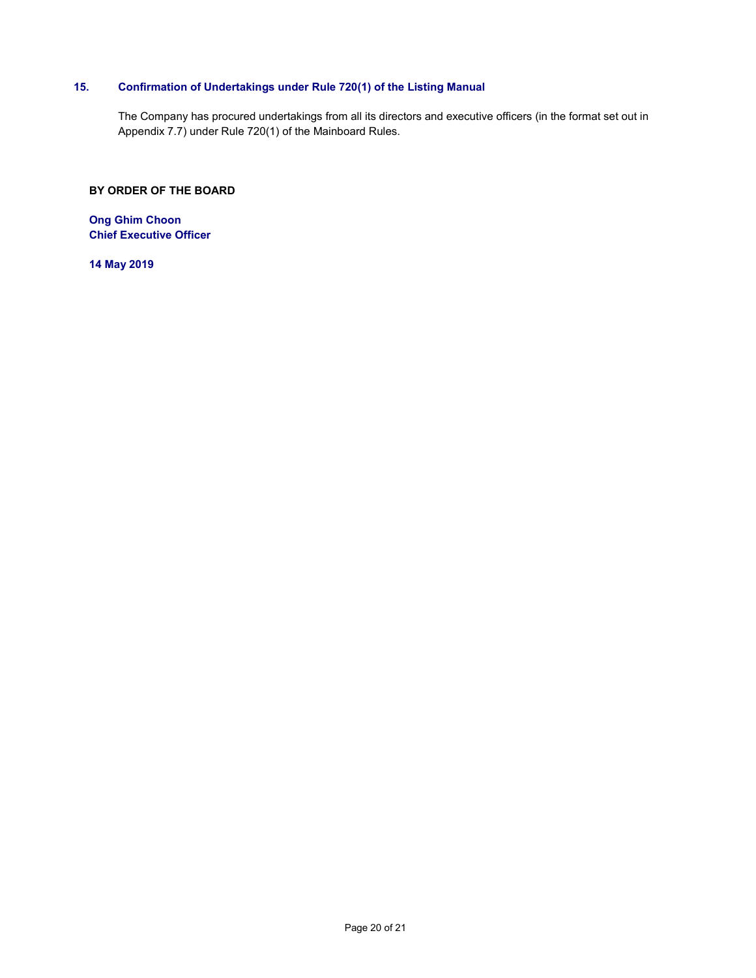# 15. Confirmation of Undertakings under Rule 720(1) of the Listing Manual

The Company has procured undertakings from all its directors and executive officers (in the format set out in Appendix 7.7) under Rule 720(1) of the Mainboard Rules.

# BY ORDER OF THE BOARD

Ong Ghim Choon Chief Executive Officer

14 May 2019